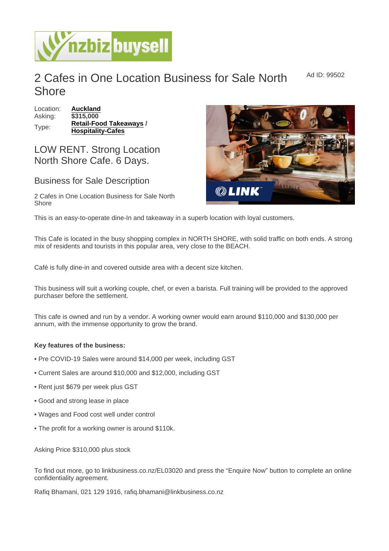## 2 Cafes in One Location Business for Sale North **Shore** Ad ID: 99502

Location: [Auckland](https://www.nzbizbuysell.co.nz/businesses-for-sale/location/Auckland) Asking: \$315,000 Type: [Retail-Food Takeaways](https://www.nzbizbuysell.co.nz/businesses-for-sale/Retail-Food-Takeaways/New-Zealand) / Hospitality-Cafes

## LOW RENT. Strong Location North Shore Cafe. 6 Days.

## Business for Sale Description

2 Cafes in One Location Business for Sale North Shore

This is an easy-to-operate dine-In and takeaway in a superb location with loyal customers.

This Cafe is located in the busy shopping complex in NORTH SHORE, with solid traffic on both ends. A strong mix of residents and tourists in this popular area, very close to the BEACH.

Café is fully dine-in and covered outside area with a decent size kitchen.

This business will suit a working couple, chef, or even a barista. Full training will be provided to the approved purchaser before the settlement.

This cafe is owned and run by a vendor. A working owner would earn around \$110,000 and \$130,000 per annum, with the immense opportunity to grow the brand.

Key features of the business:

- Pre COVID-19 Sales were around \$14,000 per week, including GST
- Current Sales are around \$10,000 and \$12,000, including GST
- Rent just \$679 per week plus GST
- Good and strong lease in place
- Wages and Food cost well under control
- The profit for a working owner is around \$110k.

Asking Price \$310,000 plus stock

To find out more, go to linkbusiness.co.nz/EL03020 and press the "Enquire Now" button to complete an online confidentiality agreement.

Rafiq Bhamani, 021 129 1916, rafiq.bhamani@linkbusiness.co.nz